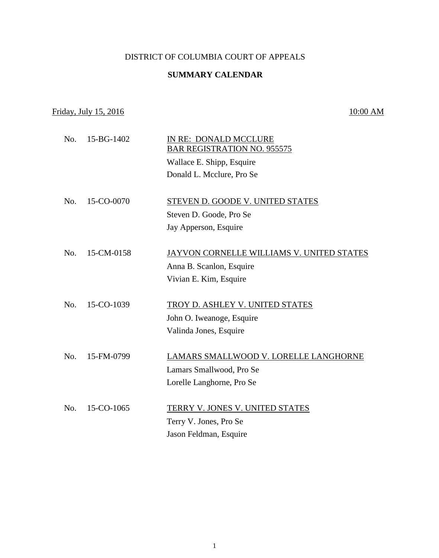### DISTRICT OF COLUMBIA COURT OF APPEALS

## **SUMMARY CALENDAR**

## Friday, July 15, 2016 10:00 AM

# No. 15-BG-1402 IN RE: DONALD MCCLURE BAR REGISTRATION NO. 955575 Wallace E. Shipp, Esquire Donald L. Mcclure, Pro Se No. 15-CO-0070 STEVEN D. GOODE V. UNITED STATES Steven D. Goode, Pro Se Jay Apperson, Esquire No. 15-CM-0158 JAYVON CORNELLE WILLIAMS V. UNITED STATES Anna B. Scanlon, Esquire Vivian E. Kim, Esquire No. 15-CO-1039 TROY D. ASHLEY V. UNITED STATES John O. Iweanoge, Esquire Valinda Jones, Esquire No. 15-FM-0799 LAMARS SMALLWOOD V. LORELLE LANGHORNE Lamars Smallwood, Pro Se Lorelle Langhorne, Pro Se No. 15-CO-1065 TERRY V. JONES V. UNITED STATES Terry V. Jones, Pro Se Jason Feldman, Esquire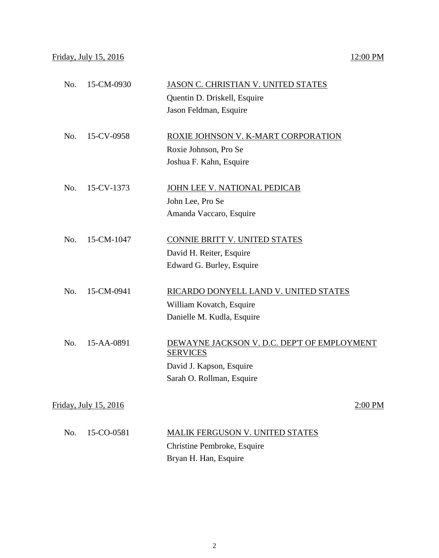| No. | 15-CM-0930                   | JASON C. CHRISTIAN V. UNITED STATES         |  |
|-----|------------------------------|---------------------------------------------|--|
|     |                              | Quentin D. Driskell, Esquire                |  |
|     |                              | Jason Feldman, Esquire                      |  |
| No. | 15-CV-0958                   | ROXIE JOHNSON V. K-MART CORPORATION         |  |
|     |                              | Roxie Johnson, Pro Se                       |  |
|     |                              | Joshua F. Kahn, Esquire                     |  |
|     |                              |                                             |  |
| No. | 15-CV-1373                   | JOHN LEE V. NATIONAL PEDICAB                |  |
|     |                              | John Lee, Pro Se                            |  |
|     |                              | Amanda Vaccaro, Esquire                     |  |
|     |                              |                                             |  |
| No. | 15-CM-1047                   | <b>CONNIE BRITT V. UNITED STATES</b>        |  |
|     |                              | David H. Reiter, Esquire                    |  |
|     |                              | Edward G. Burley, Esquire                   |  |
|     |                              |                                             |  |
| No. | 15-CM-0941                   | RICARDO DONYELL LAND V. UNITED STATES       |  |
|     |                              | William Kovatch, Esquire                    |  |
|     |                              | Danielle M. Kudla, Esquire                  |  |
| No. | 15-AA-0891                   | DEWAYNE JACKSON V. D.C. DEP'T OF EMPLOYMENT |  |
|     |                              | <b>SERVICES</b>                             |  |
|     |                              | David J. Kapson, Esquire                    |  |
|     |                              | Sarah O. Rollman, Esquire                   |  |
|     |                              |                                             |  |
|     | <u>Friday, July 15, 2016</u> | 2:00 PM                                     |  |
| No. | 15-CO-0581                   | <b>MALIK FERGUSON V. UNITED STATES</b>      |  |
|     |                              |                                             |  |

Christine Pembroke, Esquire Bryan H. Han, Esquire